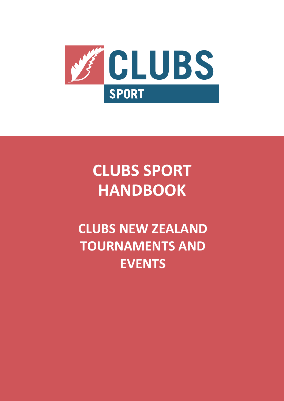

# **CLUBS SPORT HANDBOOK**

## **CLUBS NEW ZEALAND TOURNAMENTS AND EVENTS**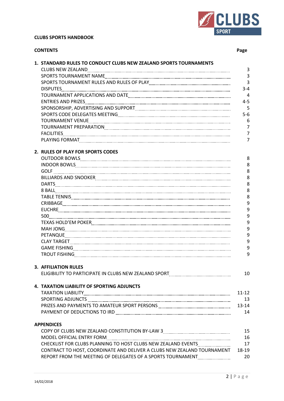

#### **CLUBS SPORTS HANDBOOK**

| <b>CONTENTS</b> |                                                                                                                       | Page           |
|-----------------|-----------------------------------------------------------------------------------------------------------------------|----------------|
|                 | 1. STANDARD RULES TO CONDUCT CLUBS NEW ZEALAND SPORTS TOURNAMENTS                                                     |                |
|                 |                                                                                                                       | 3              |
|                 |                                                                                                                       | $\overline{3}$ |
|                 | SPORTS TOURNAMENT RULES AND RULES OF PLAY CONTENTLATION CONTENTS TO URINE AND RULES OF PLAY                           | 3              |
|                 |                                                                                                                       | $3 - 4$        |
|                 |                                                                                                                       | 4              |
|                 |                                                                                                                       | $4 - 5$        |
|                 | SPONSORSHIP, ADVERTISING AND SUPPORT MALLET AND ACCORDINATE AND SUPPORT MALLET AND ACCORDINATE AND ACCORDINATE AND TO | 5              |
|                 |                                                                                                                       | $5-6$          |
|                 |                                                                                                                       | 6              |
|                 |                                                                                                                       | $\overline{7}$ |
|                 |                                                                                                                       | $\overline{7}$ |
|                 |                                                                                                                       | $\overline{7}$ |
|                 |                                                                                                                       |                |
|                 | 2. RULES OF PLAY FOR SPORTS CODES                                                                                     | 8              |
|                 |                                                                                                                       | 8              |
|                 |                                                                                                                       | 8              |
|                 |                                                                                                                       | 8              |
|                 |                                                                                                                       | 8              |
|                 |                                                                                                                       | 8              |
|                 |                                                                                                                       | 8              |
|                 |                                                                                                                       | 9              |
|                 |                                                                                                                       | 9              |
|                 |                                                                                                                       | 9              |
|                 |                                                                                                                       | 9              |
|                 |                                                                                                                       | 9              |
|                 |                                                                                                                       | 9              |
|                 |                                                                                                                       | 9              |
|                 |                                                                                                                       | 9              |
|                 |                                                                                                                       | 9              |
|                 |                                                                                                                       |                |
|                 | <b>3. AFFILIATION RULES</b>                                                                                           |                |
|                 | ELIGIBILITY TO PARTICIPATE IN CLUBS NEW ZEALAND SPORT MALLET AND THE MARKET TO PARTICIPATE IN CLUBS NEW ZEALAND       | 10             |
|                 | 4. TAXATION LIABILITY OF SPORTING ADJUNCTS                                                                            |                |
|                 |                                                                                                                       | $11 - 12$      |
|                 |                                                                                                                       | 13             |
|                 |                                                                                                                       | $13 - 14$      |
|                 |                                                                                                                       | 14             |
|                 |                                                                                                                       |                |
|                 | <b>APPENDICES</b>                                                                                                     |                |
|                 |                                                                                                                       | 15             |
|                 |                                                                                                                       | 16             |
|                 | CHECKLIST FOR CLUBS PLANNING TO HOST CLUBS NEW ZEALAND EVENTS                                                         | 17             |
|                 | CONTRACT TO HOST, COORDINATE AND DELIVER A CLUBS NEW ZEALAND TOURNAMENT                                               | 18-19          |
|                 | REPORT FROM THE MEETING OF DELEGATES OF A SPORTS TOURNAMENT                                                           | 20             |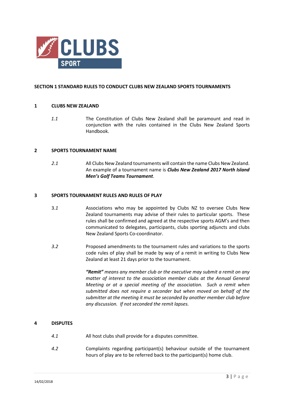

#### **SECTION 1 STANDARD RULES TO CONDUCT CLUBS NEW ZEALAND SPORTS TOURNAMENTS**

#### **1 CLUBS NEW ZEALAND**

*1.1* The Constitution of Clubs New Zealand shall be paramount and read in conjunction with the rules contained in the Clubs New Zealand Sports Handbook.

#### **2 SPORTS TOURNAMENT NAME**

 *2.1* All Clubs New Zealand tournaments will contain the name Clubs New Zealand. An example of a tournament name is *Clubs New Zealand 2017 North Island Men's Golf Teams Tournament*.

#### **3 SPORTS TOURNAMENT RULES AND RULES OF PLAY**

- 3.*1* Associations who may be appointed by Clubs NZ to oversee Clubs New Zealand tournaments may advise of their rules to particular sports. These rules shall be confirmed and agreed at the respective sports AGM's and then communicated to delegates, participants, clubs sporting adjuncts and clubs New Zealand Sports Co-coordinator.
- *3.2* Proposed amendments to the tournament rules and variations to the sports code rules of play shall be made by way of a remit in writing to Clubs New Zealand at least 21 days prior to the tournament.

 *"Remit" means any member club or the executive may submit a remit on any matter of interest to the association member clubs at the Annual General Meeting or at a special meeting of the association. Such a remit when submitted does not require a seconder but when moved on behalf of the submitter at the meeting it must be seconded by another member club before any discussion. If not seconded the remit lapses.*

#### **4 DISPUTES**

- *4.1* All host clubs shall provide for a disputes committee.
- *4.2* Complaints regarding participant(s) behaviour outside of the tournament hours of play are to be referred back to the participant(s) home club.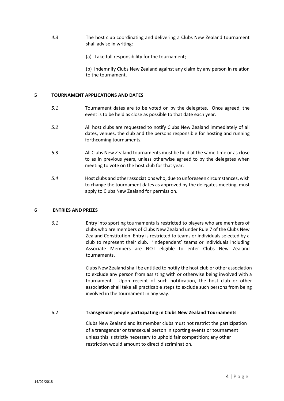- *4.3* The host club coordinating and delivering a Clubs New Zealand tournament shall advise in writing:
	- (a) Take full responsibility for the tournament;

(b) Indemnify Clubs New Zealand against any claim by any person in relation to the tournament.

#### **5 TOURNAMENT APPLICATIONS AND DATES**

- *5.1* Tournament dates are to be voted on by the delegates. Once agreed, the event is to be held as close as possible to that date each year.
- *5.2* All host clubs are requested to notify Clubs New Zealand immediately of all dates, venues, the club and the persons responsible for hosting and running forthcoming tournaments.
- *5.3* All Clubs New Zealand tournaments must be held at the same time or as close to as in previous years, unless otherwise agreed to by the delegates when meeting to vote on the host club for that year.
- *5.4* Host clubs and other associations who, due to unforeseen circumstances, wish to change the tournament dates as approved by the delegates meeting, must apply to Clubs New Zealand for permission.

#### **6 ENTRIES AND PRIZES**

*6.1* Entry into sporting tournaments is restricted to players who are members of clubs who are members of Clubs New Zealand under Rule 7 of the Clubs New Zealand Constitution. Entry is restricted to teams or individuals selected by a club to represent their club. 'Independent' teams or individuals including Associate Members are NOT eligible to enter Clubs New Zealand tournaments.

> Clubs New Zealand shall be entitled to notify the host club or other association to exclude any person from assisting with or otherwise being involved with a tournament. Upon receipt of such notification, the host club or other association shall take all practicable steps to exclude such persons from being involved in the tournament in any way.

#### 6.2 **Transgender people participating in Clubs New Zealand Tournaments**

Clubs New Zealand and its member clubs must not restrict the participation of a transgender or transexual person in sporting events or tournament unless this is strictly necessary to uphold fair competition; any other restriction would amount to direct discrimination.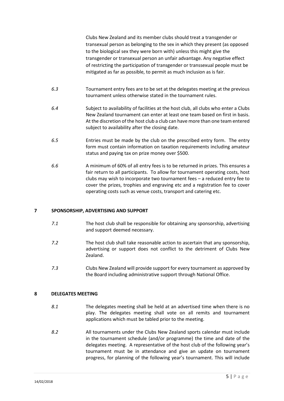Clubs New Zealand and its member clubs should treat a transgender or transexual person as belonging to the sex in which they present (as opposed to the biological sex they were born with) unless this might give the transgender or transexual person an unfair advantage. Any negative effect of restricting the participation of transgender or transsexual people must be mitigated as far as possible, to permit as much inclusion as is fair.

- *6.3* Tournament entry fees are to be set at the delegates meeting at the previous tournament unless otherwise stated in the tournament rules.
- *6.4* Subject to availability of facilities at the host club, all clubs who enter a Clubs New Zealand tournament can enter at least one team based on first in basis. At the discretion of the host club a club can have more than one team entered subject to availability after the closing date.
- *6.5* Entries must be made by the club on the prescribed entry form. The entry form must contain information on taxation requirements including amateur status and paying tax on prize money over \$500.
- *6.6* A minimum of 60% of all entry fees is to be returned in prizes. This ensures a fair return to all participants. To allow for tournament operating costs, host clubs may wish to incorporate two tournament fees – a reduced entry fee to cover the prizes, trophies and engraving etc and a registration fee to cover operating costs such as venue costs, transport and catering etc.

#### **7 SPONSORSHIP, ADVERTISING AND SUPPORT**

- *7.1* The host club shall be responsible for obtaining any sponsorship, advertising and support deemed necessary.
- *7.2* The host club shall take reasonable action to ascertain that any sponsorship, advertising or support does not conflict to the detriment of Clubs New Zealand.
- *7.3* Clubs New Zealand will provide support for every tournament as approved by the Board including administrative support through National Office.

#### **8 DELEGATES MEETING**

- *8.1* The delegates meeting shall be held at an advertised time when there is no play. The delegates meeting shall vote on all remits and tournament applications which must be tabled prior to the meeting.
- *8.2* All tournaments under the Clubs New Zealand sports calendar must include in the tournament schedule (and/or programme) the time and date of the delegates meeting. A representative of the host club of the following year's tournament must be in attendance and give an update on tournament progress, for planning of the following year's tournament. This will include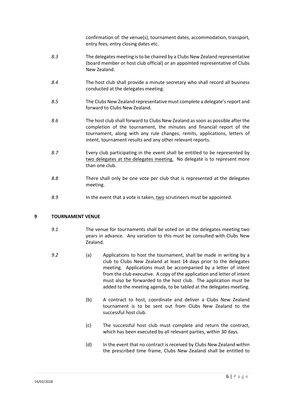confirmation of: the venue(s), tournament dates, accommodation, transport, entry fees, entry closing dates etc.

- *8.3* The delegates meeting is to be chaired by a Clubs New Zealand representative (board member or host club official) or an appointed representative of Clubs New Zealand.
- *8.4* The host club shall provide a minute secretary who shall record all business conducted at the delegates meeting.
- *8.5* The Clubs New Zealand representative must complete a delegate's report and forward to Clubs New Zealand.
- *8.6* The host club shall forward to Clubs New Zealand as soon as possible after the completion of the tournament, the minutes and financial report of the tournament, along with any rule changes, remits, applications, letters of intent, tournament results and any other relevant reports.
- *8.7* Every club participating in the event shall be entitled to be represented by two delegates at the delegates meeting. No delegate is to represent more than one club.
- *8.8* There shall only be one vote per club that is represented at the delegates meeting.
- *8.9* In the event that a vote is taken, two scrutineers must be appointed.

#### **9 TOURNAMENT VENUE**

- *9.1* The venue for tournaments shall be voted on at the delegates meeting two years in advance. Any variation to this must be consulted with Clubs New Zealand.
- *9.2* (a) Applications to host the tournament, shall be made in writing by a club to Clubs New Zealand at least 14 days prior to the delegates meeting. Applications must be accompanied by a letter of intent from the club executive. A copy of the application and letter of intent must also be forwarded to the host club. The application must be added to the meeting agenda, to be tabled at the delegates meeting.
	- (b) A contract to host, coordinate and deliver a Clubs New Zealand tournament is to be sent out from Clubs New Zealand to the successful host club.
	- (c) The successful host club must complete and return the contract, which has been executed by all relevant parties, within 30 days.
	- (d) In the event that no contract is received by Clubs New Zealand within the prescribed time frame, Clubs New Zealand shall be entitled to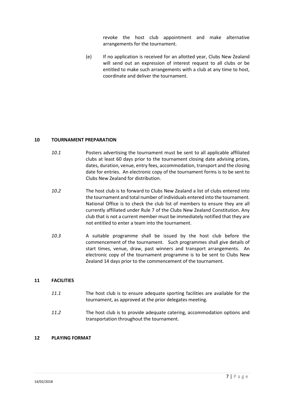revoke the host club appointment and make alternative arrangements for the tournament.

(e) If no application is received for an allotted year, Clubs New Zealand will send out an expression of interest request to all clubs or be entitled to make such arrangements with a club at any time to host, coordinate and deliver the tournament.

#### **10 TOURNAMENT PREPARATION**

- *10.1* Posters advertising the tournament must be sent to all applicable affiliated clubs at least 60 days prior to the tournament closing date advising prizes, dates, duration, venue, entry fees, accommodation, transport and the closing date for entries. An electronic copy of the tournament forms is to be sent to Clubs New Zealand for distribution.
- *10.2* The host club is to forward to Clubs New Zealand a list of clubs entered into the tournament and total number of individuals entered into the tournament. National Office is to check the club list of members to ensure they are all currently affiliated under Rule 7 of the Clubs New Zealand Constitution. Any club that is not a current member must be immediately notified that they are not entitled to enter a team into the tournament.
- *10.3* A suitable programme shall be issued by the host club before the commencement of the tournament. Such programmes shall give details of start times, venue, draw, past winners and transport arrangements. An electronic copy of the tournament programme is to be sent to Clubs New Zealand 14 days prior to the commencement of the tournament.

#### **11 FACILITIES**

- *11.1* The host club is to ensure adequate sporting facilities are available for the tournament, as approved at the prior delegates meeting.
- *11.2* The host club is to provide adequate catering, accommodation options and transportation throughout the tournament.

#### **12 PLAYING FORMAT**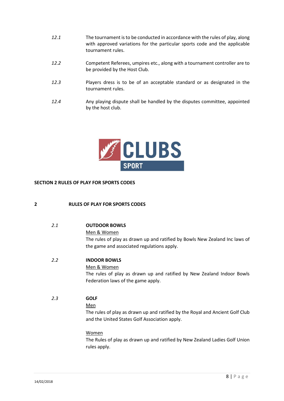- *12.1* The tournament is to be conducted in accordance with the rules of play, along with approved variations for the particular sports code and the applicable tournament rules.
- *12.2* Competent Referees, umpires etc., along with a tournament controller are to be provided by the Host Club.
- *12.3* Players dress is to be of an acceptable standard or as designated in the tournament rules.
- *12.4* Any playing dispute shall be handled by the disputes committee, appointed by the host club.



#### **SECTION 2 RULES OF PLAY FOR SPORTS CODES**

#### **2 RULES OF PLAY FOR SPORTS CODES**

| 2.1           | <b>OUTDOOR BOWLS</b><br>Men & Women<br>The rules of play as drawn up and ratified by Bowls New Zealand Inc laws of<br>the game and associated regulations apply.                                                                                             |
|---------------|--------------------------------------------------------------------------------------------------------------------------------------------------------------------------------------------------------------------------------------------------------------|
| $2.2^{\circ}$ | <b>INDOOR BOWLS</b><br>Men & Women<br>The rules of play as drawn up and ratified by New Zealand Indoor Bowls<br>Federation laws of the game apply.                                                                                                           |
| 2.3           | <b>GOLF</b><br>Men<br>The rules of play as drawn up and ratified by the Royal and Ancient Golf Club<br>and the United States Golf Association apply.<br>Women<br>The Rules of play as drawn up and ratified by New Zealand Ladies Golf Union<br>rules apply. |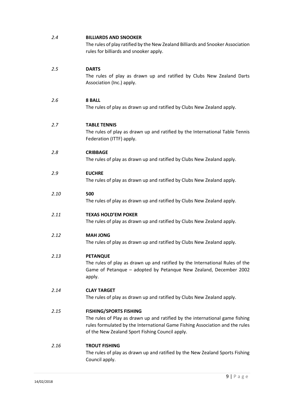| 2.4  | <b>BILLIARDS AND SNOOKER</b><br>The rules of play ratified by the New Zealand Billiards and Snooker Association<br>rules for billiards and snooker apply.                                                                                        |
|------|--------------------------------------------------------------------------------------------------------------------------------------------------------------------------------------------------------------------------------------------------|
| 2.5  | <b>DARTS</b><br>The rules of play as drawn up and ratified by Clubs New Zealand Darts<br>Association (Inc.) apply.                                                                                                                               |
| 2.6  | <b>8 BALL</b><br>The rules of play as drawn up and ratified by Clubs New Zealand apply.                                                                                                                                                          |
| 2.7  | <b>TABLE TENNIS</b><br>The rules of play as drawn up and ratified by the International Table Tennis<br>Federation (ITTF) apply.                                                                                                                  |
| 2.8  | <b>CRIBBAGE</b><br>The rules of play as drawn up and ratified by Clubs New Zealand apply.                                                                                                                                                        |
| 2.9  | <b>EUCHRE</b><br>The rules of play as drawn up and ratified by Clubs New Zealand apply.                                                                                                                                                          |
| 2.10 | 500<br>The rules of play as drawn up and ratified by Clubs New Zealand apply.                                                                                                                                                                    |
| 2.11 | <b>TEXAS HOLD'EM POKER</b><br>The rules of play as drawn up and ratified by Clubs New Zealand apply.                                                                                                                                             |
| 2.12 | <b>MAH JONG</b><br>The rules of play as drawn up and ratified by Clubs New Zealand apply.                                                                                                                                                        |
| 2.13 | <b>PETANQUE</b><br>The rules of play as drawn up and ratified by the International Rules of the<br>Game of Petanque - adopted by Petanque New Zealand, December 2002<br>apply.                                                                   |
| 2.14 | <b>CLAY TARGET</b><br>The rules of play as drawn up and ratified by Clubs New Zealand apply.                                                                                                                                                     |
| 2.15 | <b>FISHING/SPORTS FISHING</b><br>The rules of Play as drawn up and ratified by the international game fishing<br>rules formulated by the International Game Fishing Association and the rules<br>of the New Zealand Sport Fishing Council apply. |
| 2.16 | <b>TROUT FISHING</b><br>The rules of play as drawn up and ratified by the New Zealand Sports Fishing<br>Council apply.                                                                                                                           |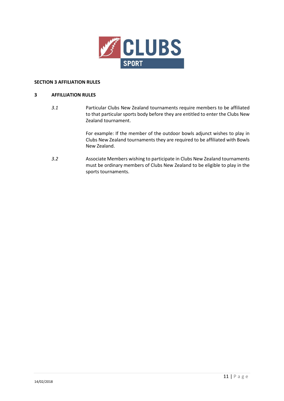

#### **SECTION 3 AFFILIATION RULES**

#### **3 AFFILLIATION RULES**

*3.1* Particular Clubs New Zealand tournaments require members to be affiliated to that particular sports body before they are entitled to enter the Clubs New Zealand tournament.

> For example: If the member of the outdoor bowls adjunct wishes to play in Clubs New Zealand tournaments they are required to be affiliated with Bowls New Zealand.

*3.2* Associate Members wishing to participate in Clubs New Zealand tournaments must be ordinary members of Clubs New Zealand to be eligible to play in the sports tournaments.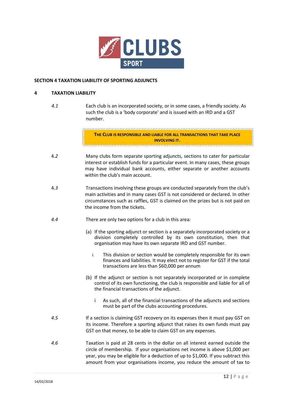

#### **SECTION 4 TAXATION LIABILITY OF SPORTING ADJUNCTS**

#### **4 TAXATION LIABILITY**

*4.1* Each club is an incorporated society, or in some cases, a friendly society. As such the club is a 'body corporate' and is issued with an IRD and a GST number.

> **THE CLUB IS RESPONSIBLE AND LIABLE FOR ALL TRANSACTIONS THAT TAKE PLACE INVOLVING IT.**

- 4*.2* Many clubs form separate sporting adjuncts, sections to cater for particular interest or establish funds for a particular event. In many cases, these groups may have individual bank accounts, either separate or another accounts within the club's main account.
- 4*.3* Transactions involving these groups are conducted separately from the club's main activities and in many cases GST is not considered or declared. In other circumstances such as raffles, GST is claimed on the prizes but is not paid on the income from the tickets.
- *4.4* There are only two options for a club in this area:
	- (a) If the sporting adjunct or section is a separately incorporated society or a division completely controlled by its own constitution, then that organisation may have its own separate IRD and GST number.
		- i. This division or section would be completely responsible for its own finances and liabilities. It may elect not to register for GST if the total transactions are less than \$60,000 per annum
	- (b) If the adjunct or section is not separately incorporated or in complete control of its own functioning, the club is responsible and liable for all of the financial transactions of the adjunct.
		- i As such, all of the financial transactions of the adjuncts and sections must be part of the clubs accounting procedures.
- *4.5* If a section is claiming GST recovery on its expenses then it must pay GST on its income. Therefore a sporting adjunct that raises its own funds must pay GST on that money, to be able to claim GST on any expenses.
- *4.6* Taxation is paid at 28 cents in the dollar on all interest earned outside the circle of membership. If your organisations net income is above \$1,000 per year, you may be eligible for a deduction of up to \$1,000. If you subtract this amount from your organisations income, you reduce the amount of tax to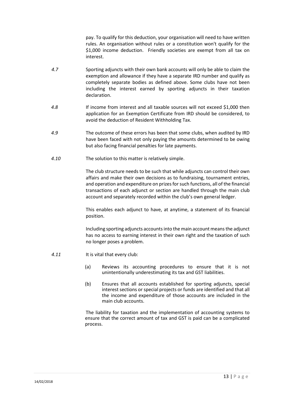pay. To qualify for this deduction, your organisation will need to hav[e written](http://www.ird.govt.nz/non-profit/np-glossary#rules)  [rules.](http://www.ird.govt.nz/non-profit/np-glossary#rules) An organisation without rules or a constitution won't qualify for the \$1,000 income deduction. Friendly societies are exempt from all tax on interest.

- *4.7* Sporting adjuncts with their own bank accounts will only be able to claim the exemption and allowance if they have a separate IRD number and qualify as completely separate bodies as defined above. Some clubs have not been including the interest earned by sporting adjuncts in their taxation declaration.
- *4.8* If income from interest and all taxable sources will not exceed \$1,000 then application for an Exemption Certificate from IRD should be considered, to avoid the deduction of Resident Withholding Tax.
- *4.9* The outcome of these errors has been that some clubs, when audited by IRD have been faced with not only paying the amounts determined to be owing but also facing financial penalties for late payments.
- *4.10* The solution to this matter is relatively simple.

The club structure needs to be such that while adjuncts can control their own affairs and make their own decisions as to fundraising, tournament entries, and operation and expenditure on prizes for such functions, all of the financial transactions of each adjunct or section are handled through the main club account and separately recorded within the club's own general ledger.

This enables each adjunct to have, at anytime, a statement of its financial position.

Including sporting adjuncts accounts into the main account means the adjunct has no access to earning interest in their own right and the taxation of such no longer poses a problem.

- *4.11* It is vital that every club:
	- (a) Reviews its accounting procedures to ensure that it is not unintentionally underestimating its tax and GST liabilities.
	- (b) Ensures that all accounts established for sporting adjuncts, special interest sections or special projects or funds are identified and that all the income and expenditure of those accounts are included in the main club accounts.

The liability for taxation and the implementation of accounting systems to ensure that the correct amount of tax and GST is paid can be a complicated process.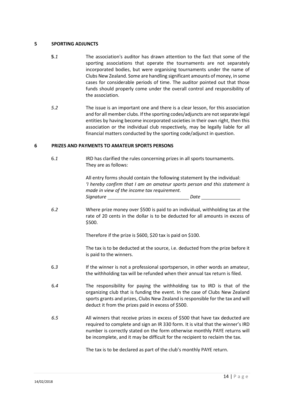#### **5 SPORTING ADJUNCTS**

- **5***.1* The association's auditor has drawn attention to the fact that some of the sporting associations that operate the tournaments are not separately incorporated bodies, but were organising tournaments under the name of Clubs New Zealand. Some are handling significant amounts of money, in some cases for considerable periods of time. The auditor pointed out that those funds should properly come under the overall control and responsibility of the association.
- *5.2* The issue is an important one and there is a clear lesson, for this association and for all member clubs. If the sporting codes/adjuncts are not separate legal entities by having become incorporated societies in their own right, then this association or the individual club respectively, may be legally liable for all financial matters conducted by the sporting code/adjunct in question.

#### **6 PRIZES AND PAYMENTS TO AMATEUR SPORTS PERSONS**

 6*.1* IRD has clarified the rules concerning prizes in all sports tournaments. They are as follows:

> All entry forms should contain the following statement by the individual: *'I hereby confirm that I am an amateur sports person and this statement is made in view of the income tax requirement. Signature Date*

 *6.2* Where prize money over \$500 is paid to an individual, withholding tax at the rate of 20 cents in the dollar is to be deducted for all amounts in excess of \$500.

Therefore if the prize is \$600, \$20 tax is paid on \$100.

The tax is to be deducted at the source, i.e. deducted from the prize before it is paid to the winners.

- 6*.3* If the winner is not a professional sportsperson, in other words an amateur, the withholding tax will be refunded when their annual tax return is filed.
- 6*.4* The responsibility for paying the withholding tax to IRD is that of the organizing club that is funding the event. In the case of Clubs New Zealand sports grants and prizes, Clubs New Zealand is responsible for the tax and will deduct it from the prizes paid in excess of \$500.
- *6.5* All winners that receive prizes in excess of \$500 that have tax deducted are required to complete and sign an IR 330 form. It is vital that the winner's IRD number is correctly stated on the form otherwise monthly PAYE returns will be incomplete, and it may be difficult for the recipient to reclaim the tax.

The tax is to be declared as part of the club's monthly PAYE return.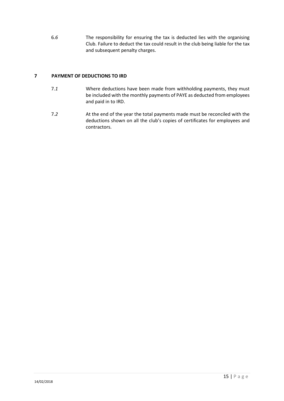6*.6* The responsibility for ensuring the tax is deducted lies with the organising Club. Failure to deduct the tax could result in the club being liable for the tax and subsequent penalty charges.

#### **7 PAYMENT OF DEDUCTIONS TO IRD**

- 7*.1* Where deductions have been made from withholding payments, they must be included with the monthly payments of PAYE as deducted from employees and paid in to IRD.
- 7*.2* At the end of the year the total payments made must be reconciled with the deductions shown on all the club's copies of certificates for employees and contractors.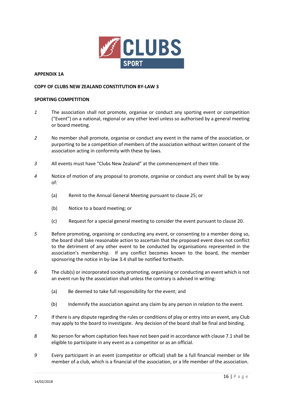

#### **APPENDIX 1A**

#### **COPY OF CLUBS NEW ZEALAND CONSTITUTION BY-LAW 3**

#### **SPORTING COMPETITION**

- *1* The association shall not promote, organise or conduct any sporting event or competition ("Event") on a national, regional or any other level unless so authorised by a general meeting or board meeting.
- *2* No member shall promote, organise or conduct any event in the name of the association, or purporting to be a competition of members of the association without written consent of the association acting in conformity with these by-laws.
- *3* All events must have "Clubs New Zealand" at the commencement of their title.
- *4* Notice of motion of any proposal to promote, organise or conduct any event shall be by way of:
	- (a) Remit to the Annual General Meeting pursuant to clause 25; or
	- (b) Notice to a board meeting; or
	- (c) Request for a special general meeting to consider the event pursuant to clause 20.
- *5* Before promoting, organising or conducting any event, or consenting to a member doing so, the board shall take reasonable action to ascertain that the proposed event does not conflict to the detriment of any other event to be conducted by organisations represented in the association's membership. If any conflict becomes known to the board, the member sponsoring the notice in by-law 3.4 shall be notified forthwith.
- *6* The club(s) or incorporated society promoting, organising or conducting an event which is not an event run by the association shall unless the contrary is advised in writing:
	- (a) Be deemed to take full responsibility for the event; and
	- (b) Indemnify the association against any claim by any person in relation to the event.
- *7* If there is any dispute regarding the rules or conditions of play or entry into an event, any Club may apply to the board to investigate. Any decision of the board shall be final and binding.
- *8* No person for whom capitation fees have not been paid in accordance with clause 7.1 shall be eligible to participate in any event as a competitor or as an official.
- *9* Every participant in an event (competitor or official) shall be a full financial member or life member of a club, which is a financial of the association, or a life member of the association.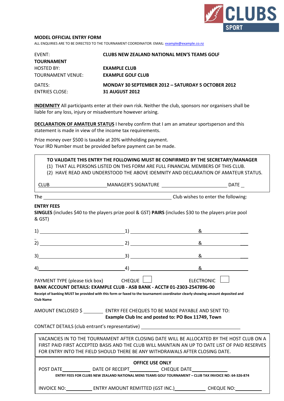

#### **MODEL OFFICIAL ENTRY FORM**

ALL ENQUIRIES ARE TO BE DIRECTED TO THE TOURNAMENT COORDINATOR: EMAIL[: example@example.co.nz](mailto:example@example.co.nz)

| <b>FVFNT:</b><br>TOURNAMENT | <b>CLUBS NEW ZEALAND NATIONAL MEN'S TEAMS GOLF</b> |
|-----------------------------|----------------------------------------------------|
| HOSTED BY:                  | <b>EXAMPLE CLUB</b>                                |
| TOURNAMENT VENUE:           | <b>EXAMPLE GOLF CLUB</b>                           |
| DATES:                      | MONDAY 30 SEPTEMBER 2012 - SATURDAY 5 OCTOBER 2012 |
| ENTRIES CLOSE:              | <b>31 AUGUST 2012</b>                              |

**INDEMNITY** All participants enter at their own risk. Neither the club, sponsors nor organisers shall be liable for any loss, injury or misadventure however arising.

**DECLARATION OF AMATEUR STATUS** I hereby confirm that I am an amateur sportsperson and this statement is made in view of the income tax requirements.

Prize money over \$500 is taxable at 20% withholding payment. Your IRD Number must be provided before payment can be made.

**TO VALIDATE THIS ENTRY THE FOLLOWING MUST BE CONFIRMED BY THE SECRETARY/MANAGER**

- (1) THAT ALL PERSONS LISTED ON THIS FORM ARE FULL FINANCIAL MEMBERS OF THIS CLUB.
- (2) HAVE READ AND UNDERSTOOD THE ABOVE IDEMNITY AND DECLARATION OF AMATEUR STATUS.

| MAN | <b>DATF</b><br>ັ<br>$\sim$ |
|-----|----------------------------|
|     |                            |

The Club wishes to enter the following:

#### **ENTRY FEES**

**SINGLES** (includes \$40 to the players prize pool & GST) **PAIRS** (includes \$30 to the players prize pool & GST)

| $\begin{array}{ c c c c c }\hline \text{--} & \text{--} & \text{--} & \text{--} & \text{--} \\\hline \end{array}$<br>1)                              |  | &                                                                                                                                                                                                                                                                           |  |
|------------------------------------------------------------------------------------------------------------------------------------------------------|--|-----------------------------------------------------------------------------------------------------------------------------------------------------------------------------------------------------------------------------------------------------------------------------|--|
| 2)                                                                                                                                                   |  | &                                                                                                                                                                                                                                                                           |  |
| 3)                                                                                                                                                   |  | &                                                                                                                                                                                                                                                                           |  |
| $4)$ $4)$                                                                                                                                            |  | 8.                                                                                                                                                                                                                                                                          |  |
| PAYMENT TYPE (please tick box) CHEQUE NET CHECTRONIC<br>BANK ACCOUNT DETAILS: EXAMPLE CLUB - ASB BANK - ACCT# 01-2303-2547896-00<br><b>Club Name</b> |  | Receipt of banking MUST be provided with this form or faxed to the tournament coordinator clearly showing amount deposited and                                                                                                                                              |  |
|                                                                                                                                                      |  | AMOUNT ENCLOSED \$ ___________ ENTRY FEE CHEQUES TO BE MADE PAYABLE AND SENT TO:<br>Example Club Inc and posted to: PO Box 11749, Town<br>CONTACT DETAILS (club entrant's representative) ________________________________                                                  |  |
|                                                                                                                                                      |  | VACANCIES IN TO THE TOURNAMENT AFTER CLOSING DATE WILL BE ALLOCATED BY THE HOST CLUB ON A<br>FIRST PAID FIRST ACCEPTED BASIS AND THE CLUB WILL MAINTAIN AN UP TO DATE LIST OF PAID RESERVES<br>FOR ENTRY INTO THE FIELD SHOULD THERE BE ANY WITHDRAWALS AFTER CLOSING DATE. |  |
| <b>OFFICE USE ONLY</b>                                                                                                                               |  |                                                                                                                                                                                                                                                                             |  |
|                                                                                                                                                      |  | POST DATE _______________ DATE OF RECEIPT_______________ CHEQUE DATE_____________<br>ENTRY FEES FOR CLUBS NEW ZEALAND NATIONAL MENS TEAMS GOLF TOURNAMENT - CLUB TAX INVOICE NO: 64-326-874                                                                                 |  |
|                                                                                                                                                      |  | INVOICE NO: ENTRY AMOUNT REMITTED (GST INC.) CHEQUE NO: CHEQUE NO:                                                                                                                                                                                                          |  |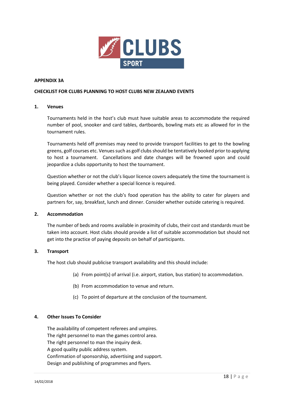

#### **APPENDIX 3A**

#### **CHECKLIST FOR CLUBS PLANNING TO HOST CLUBS NEW ZEALAND EVENTS**

#### **1. Venues**

Tournaments held in the host's club must have suitable areas to accommodate the required number of pool, snooker and card tables, dartboards, bowling mats etc as allowed for in the tournament rules.

Tournaments held off premises may need to provide transport facilities to get to the bowling greens, golf courses etc. Venues such as golf clubs should be tentatively booked prior to applying to host a tournament. Cancellations and date changes will be frowned upon and could jeopardize a clubs opportunity to host the tournament.

Question whether or not the club's liquor licence covers adequately the time the tournament is being played. Consider whether a special licence is required.

Question whether or not the club's food operation has the ability to cater for players and partners for, say, breakfast, lunch and dinner. Consider whether outside catering is required.

#### **2. Accommodation**

The number of beds and rooms available in proximity of clubs, their cost and standards must be taken into account. Host clubs should provide a list of suitable accommodation but should not get into the practice of paying deposits on behalf of participants.

#### **3. Transport**

The host club should publicise transport availability and this should include:

- (a) From point(s) of arrival (i.e. airport, station, bus station) to accommodation.
- (b) From accommodation to venue and return.
- (c) To point of departure at the conclusion of the tournament.

#### **4. Other Issues To Consider**

The availability of competent referees and umpires. The right personnel to man the games control area. The right personnel to man the inquiry desk. A good quality public address system. Confirmation of sponsorship, advertising and support. Design and publishing of programmes and flyers.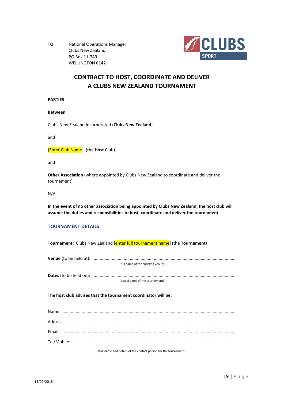**TO**: National Operations Manager Clubs New Zealand PO Box 11-749 WELLINGTON 6142



### **CONTRACT TO HOST, COORDINATE AND DELIVER A CLUBS NEW ZEALAND TOURNAMENT**

#### **PARTIES**

**Between**

Clubs New Zealand Incorporated (**Clubs New Zealand**)

and

[Enter Club Name] (the **Host** Club)

and

**Other Association** (where appointed by Clubs New Zealand to coordinate and deliver the tournament)

N/A

**In the event of no other association being appointed by Clubs New Zealand, the host club will assume the duties and responsibilities to host, coordinate and deliver the tournament.**

#### **TOURNAMENT DETAILS**

**Tournament:** Clubs New Zealand [enter full tournament name] (the **Tournament**)

| (full name of the sporting venue) |
|-----------------------------------|

**Dates** (to be held on)**:** ....................................................................................................................... (actual dates of the tournament)

**The host club advises that the tournament coordinator will be:**

| (full name and details of the contact person for the tournament) |
|------------------------------------------------------------------|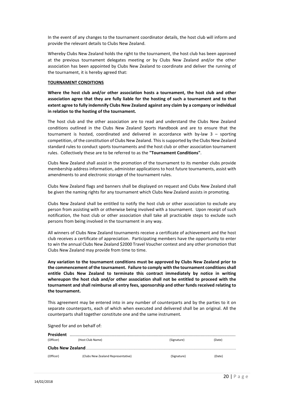In the event of any changes to the tournament coordinator details, the host club will inform and provide the relevant details to Clubs New Zealand.

Whereby Clubs New Zealand holds the right to the tournament, the host club has been approved at the previous tournament delegates meeting or by Clubs New Zealand and/or the other association has been appointed by Clubs New Zealand to coordinate and deliver the running of the tournament, it is hereby agreed that:

#### **TOURNAMENT CONDITIONS**

**Where the host club and/or other association hosts a tournament, the host club and other association agree that they are fully liable for the hosting of such a tournament and to that extent agree to fully indemnify Clubs New Zealand against any claim by a company or individual in relation to the hosting of the tournament.**

The host club and the other association are to read and understand the Clubs New Zealand conditions outlined in the Clubs New Zealand Sports Handbook and are to ensure that the tournament is hosted, coordinated and delivered in accordance with by-law 3 – sporting competition, of the constitution of Clubs New Zealand. This is supported by the Clubs New Zealand standard rules to conduct sports tournaments and the host club or other association tournament rules. Collectively these are to be referred to as the **"Tournament Conditions"**.

Clubs New Zealand shall assist in the promotion of the tournament to its member clubs provide membership address information, administer applications to host future tournaments, assist with amendments to and electronic storage of the tournament rules.

Clubs New Zealand flags and banners shall be displayed on request and Clubs New Zealand shall be given the naming rights for any tournament which Clubs New Zealand assists in promoting.

Clubs New Zealand shall be entitled to notify the host club or other association to exclude any person from assisting with or otherwise being involved with a tournament. Upon receipt of such notification, the host club or other association shall take all practicable steps to exclude such persons from being involved in the tournament in any way.

All winners of Clubs New Zealand tournaments receive a certificate of achievement and the host club receives a certificate of appreciation. Participating members have the opportunity to enter to win the annual Clubs New Zealand \$2000 Travel Voucher contest and any other promotion that Clubs New Zealand may provide from time to time.

**Any variation to the tournament conditions must be approved by Clubs New Zealand prior to the commencement of the tournament. Failure to comply with the tournament conditionsshall entitle Clubs New Zealand to terminate this contract immediately by notice in writing whereupon the host club and/or other association shall not be entitled to proceed with the tournament and shall reimburse all entry fees, sponsorship and other funds received relating to the tournament.**

This agreement may be entered into in any number of counterparts and by the parties to it on separate counterparts, each of which when executed and delivered shall be an original. All the counterparts shall together constitute one and the same instrument.

Signed for and on behalf of:

| President                 |                                    |             |        |
|---------------------------|------------------------------------|-------------|--------|
| (Officer)                 | (Host Club Name)                   | (Signature) | (Date) |
| <b>Clubs New Zealand.</b> |                                    |             |        |
| (Officer)                 | (Clubs New Zealand Representative) | (Signature) | (Date) |